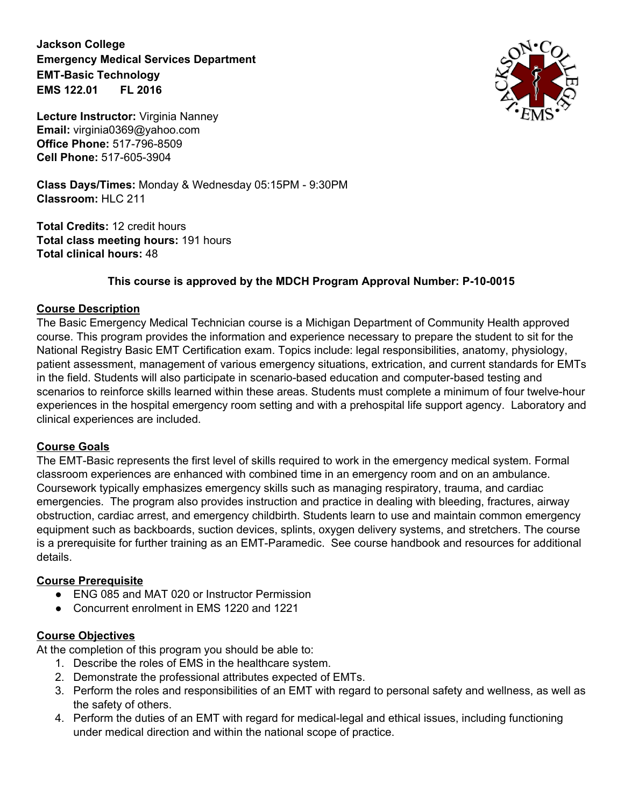**Jackson College Emergency Medical Services Department EMT-Basic Technology EMS 122.01 FL 2016**



**Lecture Instructor:** Virginia Nanney **Email:** virginia0369@yahoo.com **Office Phone:** 517-796-8509 **Cell Phone:** 517-605-3904

**Class Days/Times:** Monday & Wednesday 05:15PM - 9:30PM **Classroom:** HLC 211

**Total Credits:** 12 credit hours **Total class meeting hours:** 191 hours **Total clinical hours:** 48

# **This course is approved by the MDCH Program Approval Number: P-10-0015**

### **Course Description**

The Basic Emergency Medical Technician course is a Michigan Department of Community Health approved course. This program provides the information and experience necessary to prepare the student to sit for the National Registry Basic EMT Certification exam. Topics include: legal responsibilities, anatomy, physiology, patient assessment, management of various emergency situations, extrication, and current standards for EMTs in the field. Students will also participate in scenario-based education and computer-based testing and scenarios to reinforce skills learned within these areas. Students must complete a minimum of four twelve-hour experiences in the hospital emergency room setting and with a prehospital life support agency. Laboratory and clinical experiences are included.

#### **Course Goals**

The EMT-Basic represents the first level of skills required to work in the emergency medical system. Formal classroom experiences are enhanced with combined time in an emergency room and on an ambulance. Coursework typically emphasizes emergency skills such as managing respiratory, trauma, and cardiac emergencies. The program also provides instruction and practice in dealing with bleeding, fractures, airway obstruction, cardiac arrest, and emergency childbirth. Students learn to use and maintain common emergency equipment such as backboards, suction devices, splints, oxygen delivery systems, and stretchers. The course is a prerequisite for further training as an EMT-Paramedic. See course handbook and resources for additional details.

### **Course Prerequisite**

- **●** ENG 085 and MAT 020 or Instructor Permission
- **●** Concurrent enrolment in EMS 1220 and 1221

### **Course Objectives**

At the completion of this program you should be able to:

- 1. Describe the roles of EMS in the healthcare system.
- 2. Demonstrate the professional attributes expected of EMTs.
- 3. Perform the roles and responsibilities of an EMT with regard to personal safety and wellness, as well as the safety of others.
- 4. Perform the duties of an EMT with regard for medical-legal and ethical issues, including functioning under medical direction and within the national scope of practice.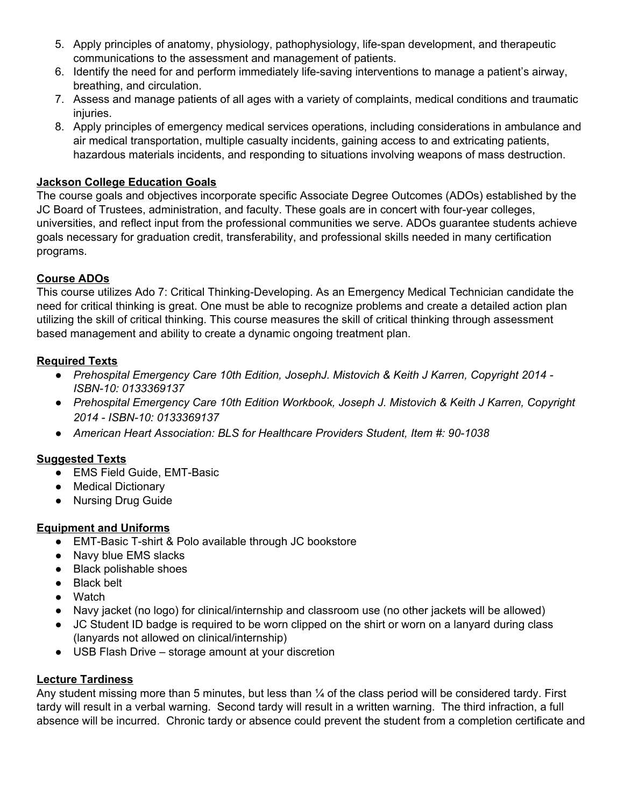- 5. Apply principles of anatomy, physiology, pathophysiology, life-span development, and therapeutic communications to the assessment and management of patients.
- 6. Identify the need for and perform immediately life-saving interventions to manage a patient's airway, breathing, and circulation.
- 7. Assess and manage patients of all ages with a variety of complaints, medical conditions and traumatic injuries.
- 8. Apply principles of emergency medical services operations, including considerations in ambulance and air medical transportation, multiple casualty incidents, gaining access to and extricating patients, hazardous materials incidents, and responding to situations involving weapons of mass destruction.

## **Jackson College Education Goals**

The course goals and objectives incorporate specific Associate Degree Outcomes (ADOs) established by the JC Board of Trustees, administration, and faculty. These goals are in concert with four-year colleges, universities, and reflect input from the professional communities we serve. ADOs guarantee students achieve goals necessary for graduation credit, transferability, and professional skills needed in many certification programs.

### **Course ADOs**

This course utilizes Ado 7: Critical Thinking-Developing. As an Emergency Medical Technician candidate the need for critical thinking is great. One must be able to recognize problems and create a detailed action plan utilizing the skill of critical thinking. This course measures the skill of critical thinking through assessment based management and ability to create a dynamic ongoing treatment plan.

### **Required Texts**

- *● Prehospital Emergency Care 10th Edition, JosephJ. Mistovich & Keith J Karren, Copyright 2014 - ISBN-10: 0133369137*
- *● Prehospital Emergency Care 10th Edition Workbook, Joseph J. Mistovich & Keith J Karren, Copyright 2014 - ISBN-10: 0133369137*
- *● American Heart Association: BLS for Healthcare Providers Student, Item #: 90-1038*

### **Suggested Texts**

- EMS Field Guide, EMT-Basic
- Medical Dictionary
- Nursing Drug Guide

# **Equipment and Uniforms**

- EMT-Basic T-shirt & Polo available through JC bookstore
- Navy blue EMS slacks
- Black polishable shoes
- Black belt
- Watch
- Navy jacket (no logo) for clinical/internship and classroom use (no other jackets will be allowed)
- JC Student ID badge is required to be worn clipped on the shirt or worn on a lanyard during class (lanyards not allowed on clinical/internship)
- USB Flash Drive storage amount at your discretion

# **Lecture Tardiness**

Any student missing more than 5 minutes, but less than ¼ of the class period will be considered tardy. First tardy will result in a verbal warning. Second tardy will result in a written warning. The third infraction, a full absence will be incurred. Chronic tardy or absence could prevent the student from a completion certificate and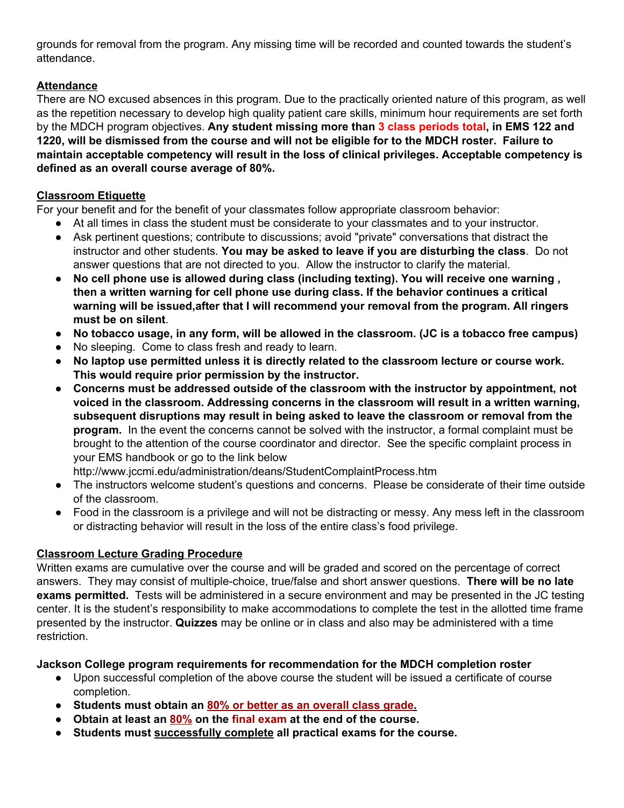grounds for removal from the program. Any missing time will be recorded and counted towards the student's attendance.

# **Attendance**

There are NO excused absences in this program. Due to the practically oriented nature of this program, as well as the repetition necessary to develop high quality patient care skills, minimum hour requirements are set forth by the MDCH program objectives. **Any student missing more than 3class periods total, in EMS 122 and 1220, will be dismissed from the course and will not be eligible for to the MDCH roster. Failure to maintain acceptable competency will result in the loss of clinical privileges. Acceptable competency is defined as an overall course average of 80%.**

# **Classroom Etiquette**

For your benefit and for the benefit of your classmates follow appropriate classroom behavior:

- At all times in class the student must be considerate to your classmates and to your instructor.
- Ask pertinent questions; contribute to discussions; avoid "private" conversations that distract the instructor and other students. **You may be asked to leave if you are disturbing the class**. Do not answer questions that are not directed to you. Allow the instructor to clarify the material.
- **No cell phone use is allowed during class (including texting). You will receive one warning , then a written warning for cell phone use during class. If the behavior continues a critical warning will be issued,after that I will recommend your removal from the program. All ringers must be on silent**.
- **● No tobacco usage, in any form, will be allowed in the classroom. (JC is a tobacco free campus)**
- No sleeping. Come to class fresh and ready to learn.
- **● No laptop use permitted unless it is directly related to the classroom lecture or course work. This would require prior permission by the instructor.**
- **Concerns must be addressed outside of the classroom with the instructor by appointment, not voiced in the classroom. Addressing concerns in the classroom will result in a written warning, subsequent disruptions may result in being asked to leave the classroom or removal from the program.** In the event the concerns cannot be solved with the instructor, a formal complaint must be brought to the attention of the course coordinator and director. See the specific complaint process in your EMS handbook or go to the link below
- http://www.jccmi.edu/administration/deans/StudentComplaintProcess.htm
- The instructors welcome student's questions and concerns. Please be considerate of their time outside of the classroom.
- Food in the classroom is a privilege and will not be distracting or messy. Any mess left in the classroom or distracting behavior will result in the loss of the entire class's food privilege.

# **Classroom Lecture Grading Procedure**

Written exams are cumulative over the course and will be graded and scored on the percentage of correct answers. They may consist of multiple-choice, true/false and short answer questions. **There will be no late exams permitted.** Tests will be administered in a secure environment and may be presented in the JC testing center. It is the student's responsibility to make accommodations to complete the test in the allotted time frame presented by the instructor. **Quizzes** may be online or in class and also may be administered with a time restriction.

# **Jackson College program requirements for recommendation for the MDCH completion roster**

- Upon successful completion of the above course the student will be issued a certificate of course completion.
- **● Students must obtain an 80% or better as an overall class grade.**
- **● Obtain at least an 80% on the final exam at the end of the course.**
- **● Students must successfully complete all practical exams for the course.**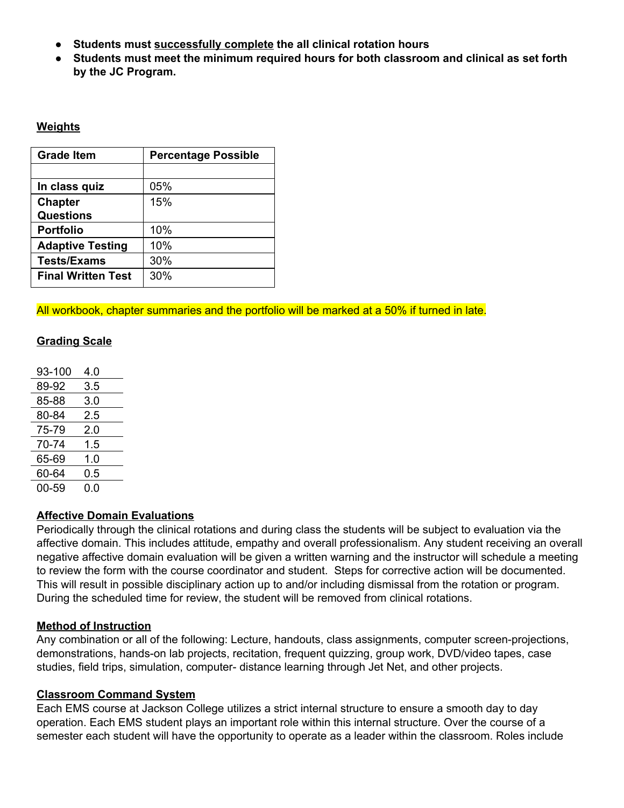- **● Students must successfully complete the all clinical rotation hours**
- **Students must meet the minimum required hours for both classroom and clinical as set forth by the JC Program.**

#### **Weights**

| <b>Grade Item</b>         | <b>Percentage Possible</b> |  |
|---------------------------|----------------------------|--|
|                           |                            |  |
| In class quiz             | 05%                        |  |
| <b>Chapter</b>            | 15%                        |  |
| <b>Questions</b>          |                            |  |
| <b>Portfolio</b>          | 10%                        |  |
| <b>Adaptive Testing</b>   | 10%                        |  |
| <b>Tests/Exams</b>        | 30%                        |  |
| <b>Final Written Test</b> | 30%                        |  |

All workbook, chapter summaries and the portfolio will be marked at a 50% if turned in late.

### **Grading Scale**

| 93-100 | 4.0 |  |
|--------|-----|--|
| 89-92  | 3.5 |  |
| 85-88  | 3.0 |  |
| 80-84  | 2.5 |  |
| 75-79  | 2.0 |  |
| 70-74  | 1.5 |  |
| 65-69  | 1.0 |  |
| 60-64  | 0.5 |  |
| 00-59  | 0.0 |  |

### **Affective Domain Evaluations**

Periodically through the clinical rotations and during class the students will be subject to evaluation via the affective domain. This includes attitude, empathy and overall professionalism. Any student receiving an overall negative affective domain evaluation will be given a written warning and the instructor will schedule a meeting to review the form with the course coordinator and student. Steps for corrective action will be documented. This will result in possible disciplinary action up to and/or including dismissal from the rotation or program. During the scheduled time for review, the student will be removed from clinical rotations.

### **Method of Instruction**

Any combination or all of the following: Lecture, handouts, class assignments, computer screen-projections, demonstrations, hands-on lab projects, recitation, frequent quizzing, group work, DVD/video tapes, case studies, field trips, simulation, computer- distance learning through Jet Net, and other projects.

### **Classroom Command System**

Each EMS course at Jackson College utilizes a strict internal structure to ensure a smooth day to day operation. Each EMS student plays an important role within this internal structure. Over the course of a semester each student will have the opportunity to operate as a leader within the classroom. Roles include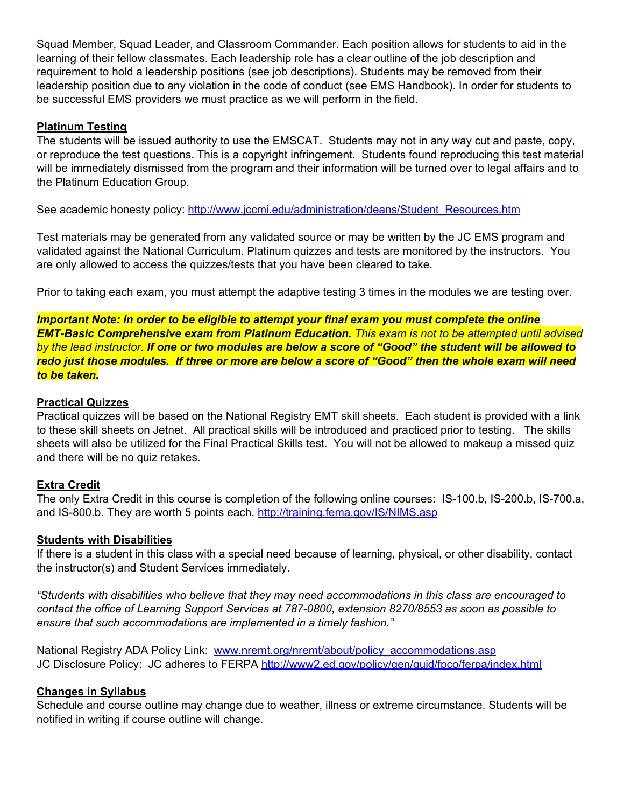Squad Member, Squad Leader, and Classroom Commander. Each position allows for students to aid in the learning of their fellow classmates. Each leadership role has a clear outline of the job description and requirement to hold a leadership positions (see job descriptions). Students may be removed from their leadership position due to any violation in the code of conduct (see EMS Handbook). In order for students to be successful EMS providers we must practice as we will perform in the field.

### **Platinum Testing**

The students will be issued authority to use the EMSCAT. Students may not in any way cut and paste, copy, or reproduce the test questions. This is a copyright infringement. Students found reproducing this test material will be immediately dismissed from the program and their information will be turned over to legal affairs and to the Platinum Education Group.

See academic honesty policy: [http://www.jccmi.edu/administration/deans/Student\\_Resources.htm](http://www.jccmi.edu/administration/deans/Student_Resources.htm)

Test materials may be generated from any validated source or may be written by the JC EMS program and validated against the National Curriculum. Platinum quizzes and tests are monitored by the instructors. You are only allowed to access the quizzes/tests that you have been cleared to take.

Prior to taking each exam, you must attempt the adaptive testing 3 times in the modules we are testing over.

 *Important Note: In order to be eligible to attempt your final exam you must complete the online EMT-Basic Comprehensive exam from Platinum Education. This exam is not to be attempted until advised by the lead instructor. If one or two modules are below a score of "Good" the student will be allowed to redo just those modules. If three or more are below a score of "Good" then the whole exam will need to be taken.*

#### **Practical Quizzes**

Practical quizzes will be based on the National Registry EMT skill sheets. Each student is provided with a link to these skill sheets on Jetnet. All practical skills will be introduced and practiced prior to testing. The skills sheets will also be utilized for the Final Practical Skills test. You will not be allowed to makeup a missed quiz and there will be no quiz retakes.

### **Extra Credit**

The only Extra Credit in this course is completion of the following online courses: IS-100.b, IS-200.b, IS-700.a, and IS-800.b. They are worth 5 points each. <http://training.fema.gov/IS/NIMS.asp>

#### **Students with Disabilities**

If there is a student in this class with a special need because of learning, physical, or other disability, contact the instructor(s) and Student Services immediately.

*"Students with disabilities who believe that they may need accommodations in this class are encouraged to contact the office of Learning Support Services at 787-0800, extension 8270/8553 as soon as possible to ensure that such accommodations are implemented in a timely fashion."*

National Registry ADA Policy Link: [www.nremt.org/nremt/about/policy\\_accommodations.asp](http://www.nremt.org/nremt/about/policy_accommodations.asp) JC Disclosure Policy: JC adheres to FERPA <http://www2.ed.gov/policy/gen/guid/fpco/ferpa/index.html>

#### **Changes in Syllabus**

Schedule and course outline may change due to weather, illness or extreme circumstance. Students will be notified in writing if course outline will change.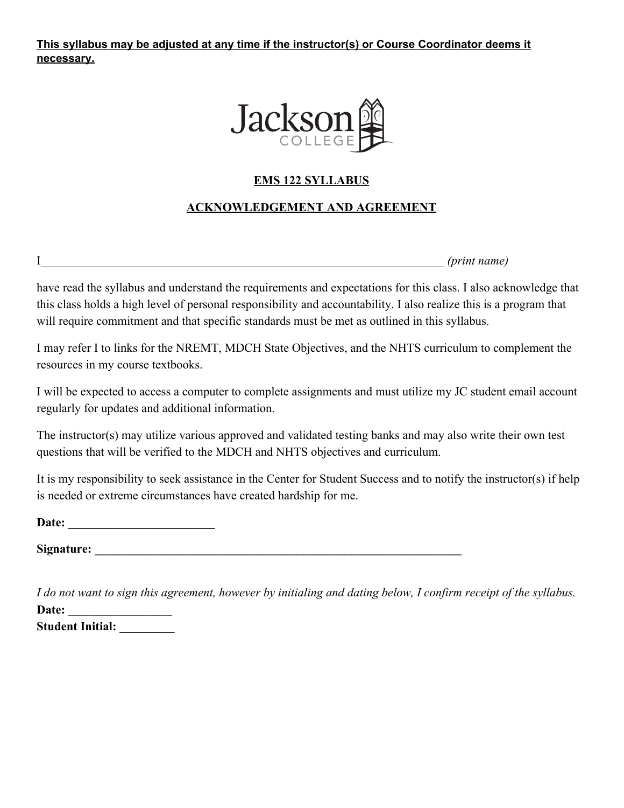**This syllabus may be adjusted at any time if the instructor(s) or Course Coordinator deems it necessary.**



# **EMS 122 SYLLABUS**

# **ACKNOWLEDGEMENT AND AGREEMENT**

I\_\_\_\_\_\_\_\_\_\_\_\_\_\_\_\_\_\_\_\_\_\_\_\_\_\_\_\_\_\_\_\_\_\_\_\_\_\_\_\_\_\_\_\_\_\_\_\_\_\_\_\_\_\_\_\_\_\_\_\_\_\_\_\_\_\_ *(print name)*

have read the syllabus and understand the requirements and expectations for this class. I also acknowledge that this class holds a high level of personal responsibility and accountability. I also realize this is a program that will require commitment and that specific standards must be met as outlined in this syllabus.

I may refer I to links for the NREMT, MDCH State Objectives, and the NHTS curriculum to complement the resources in my course textbooks.

I will be expected to access a computer to complete assignments and must utilize my JC student email account regularly for updates and additional information.

The instructor(s) may utilize various approved and validated testing banks and may also write their own test questions that will be verified to the MDCH and NHTS objectives and curriculum.

It is my responsibility to seek assistance in the Center for Student Success and to notify the instructor(s) if help is needed or extreme circumstances have created hardship for me.

Date:

**Signature: \_\_\_\_\_\_\_\_\_\_\_\_\_\_\_\_\_\_\_\_\_\_\_\_\_\_\_\_\_\_\_\_\_\_\_\_\_\_\_\_\_\_\_\_\_\_\_\_\_\_\_\_\_\_\_\_\_\_\_\_**

*I do not want to sign this agreement, however by initialing and dating below, I confirm receipt of the syllabus.* Date: **Student Initial: \_\_\_\_\_\_\_\_\_**